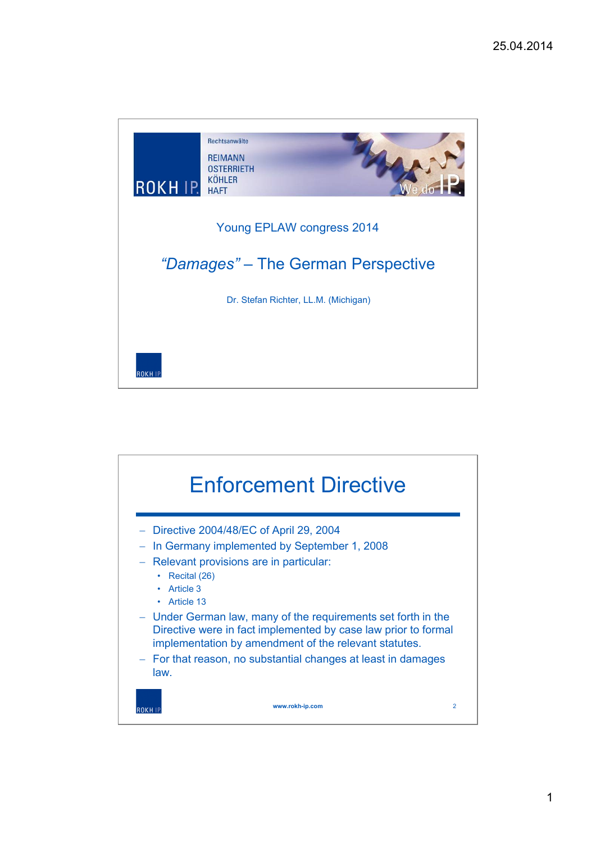

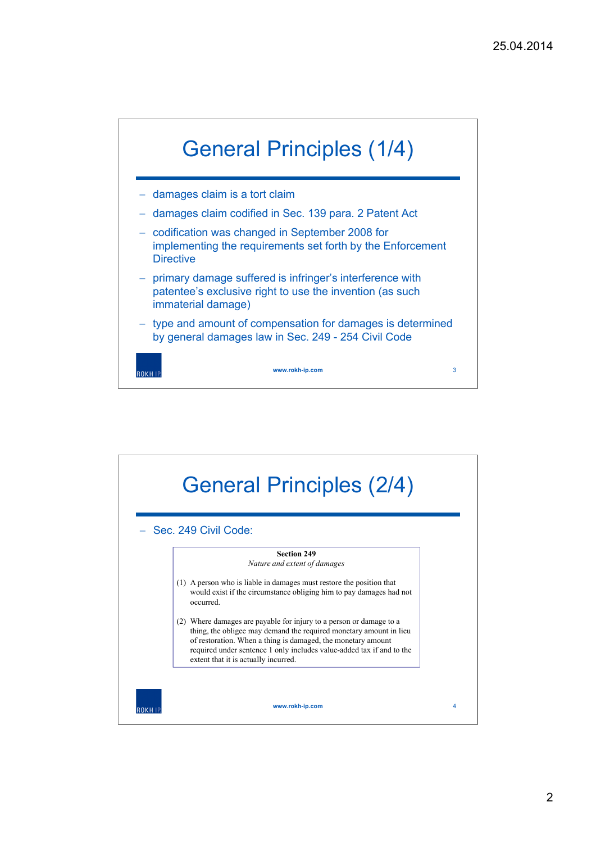

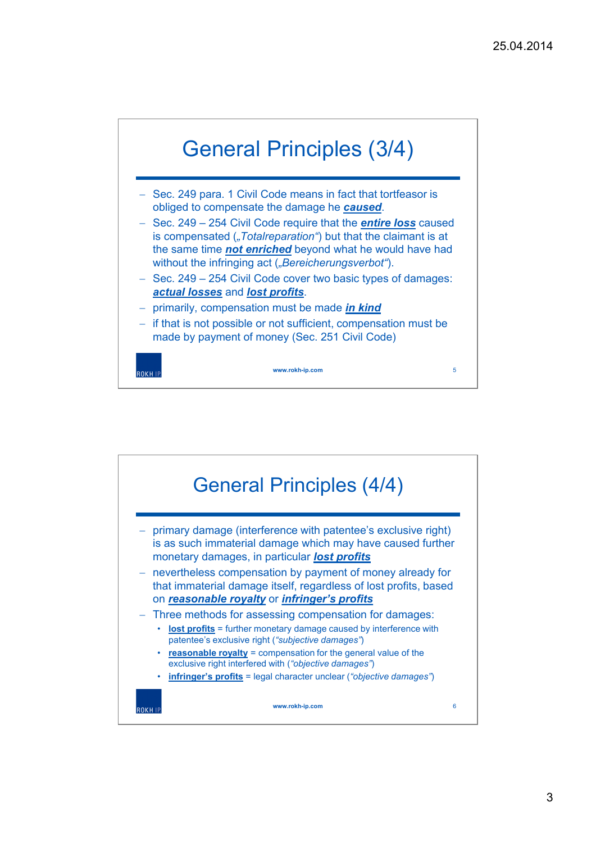

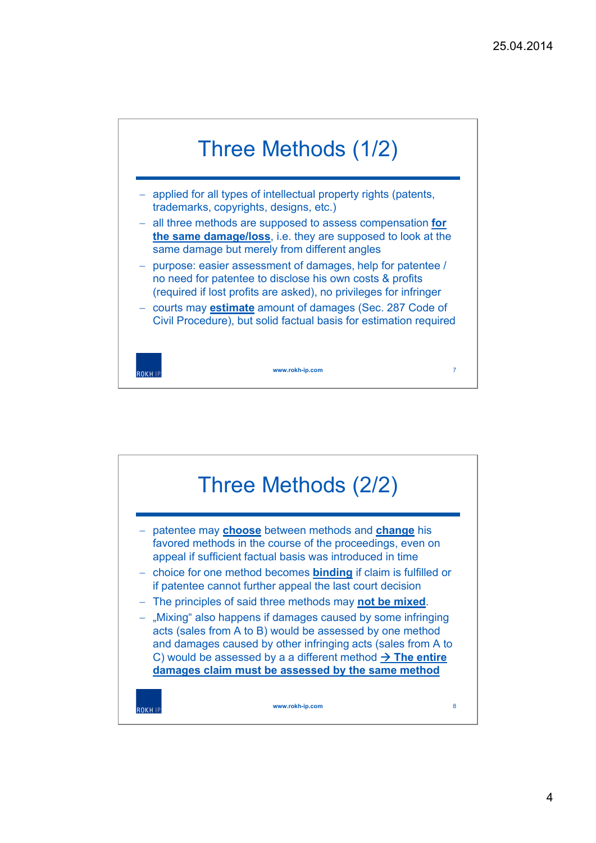

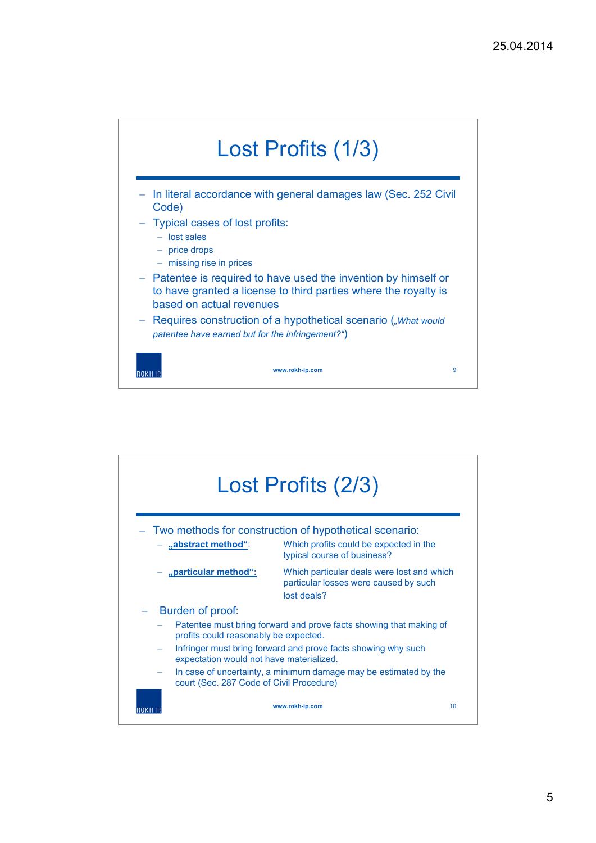

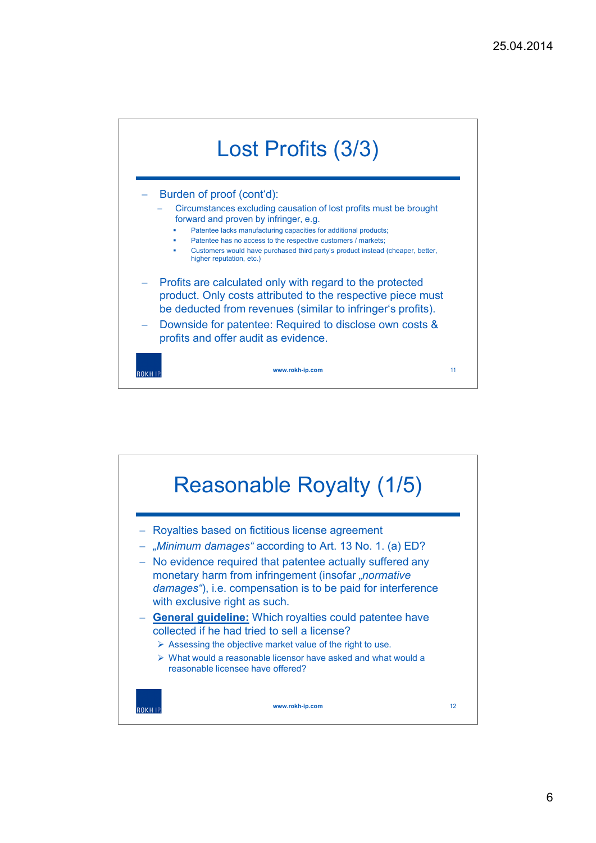

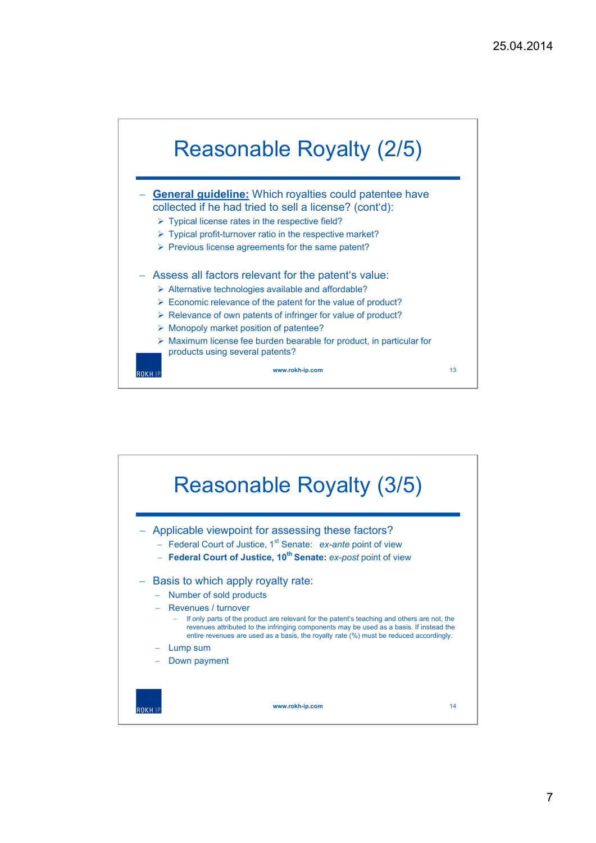

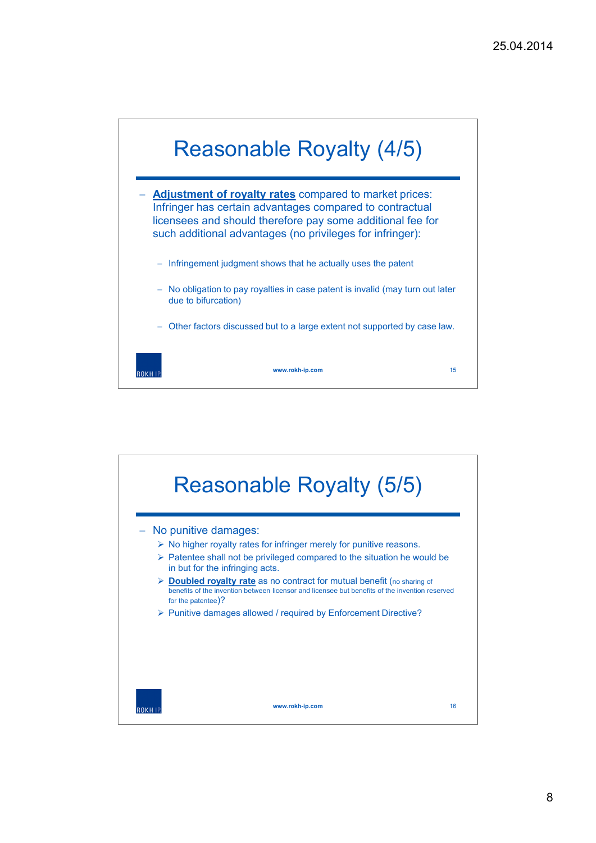

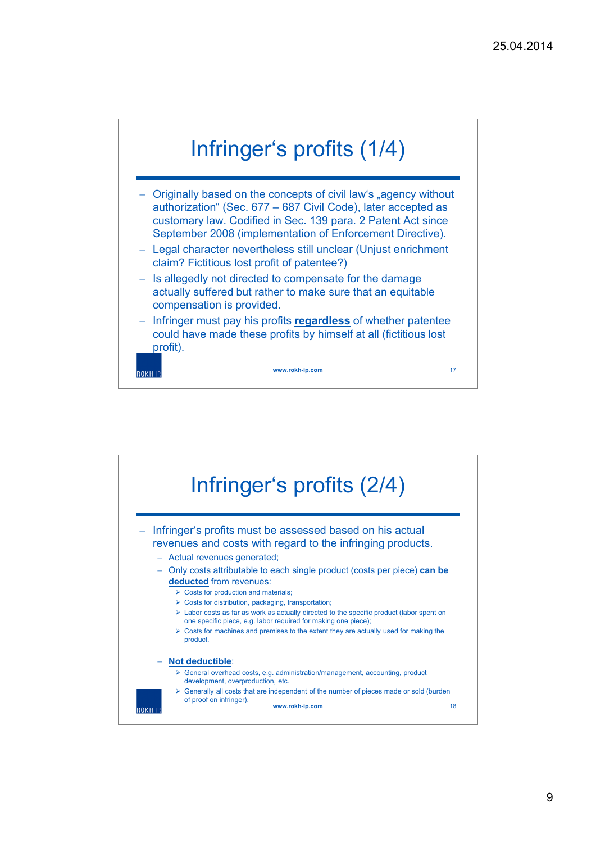

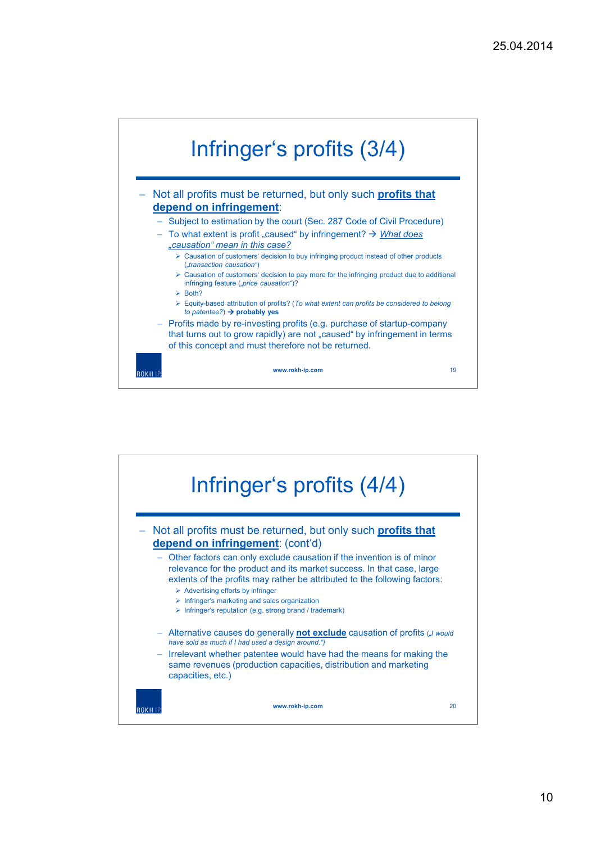

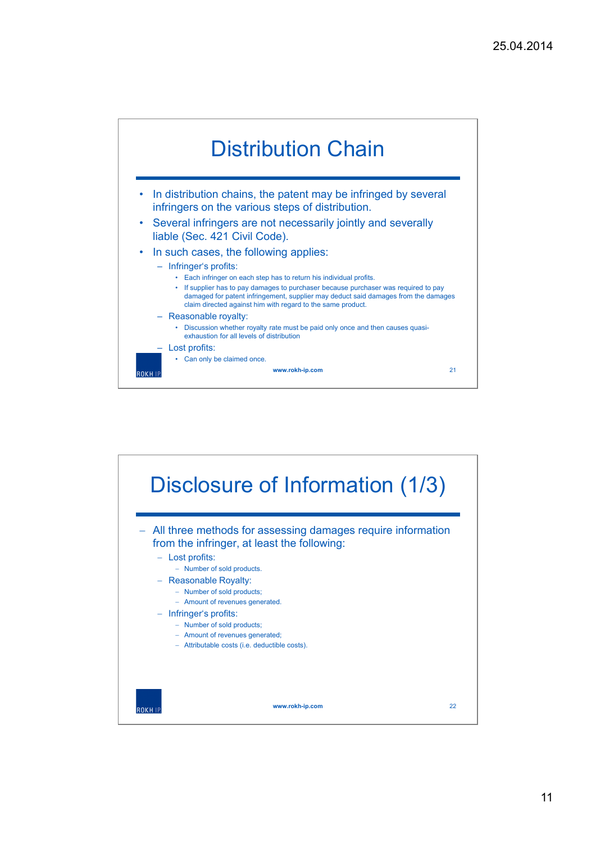

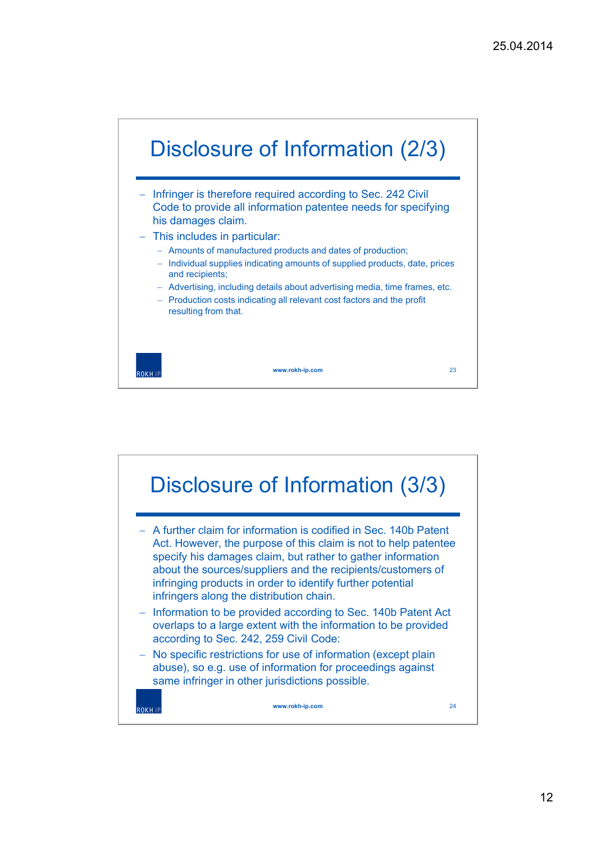



12